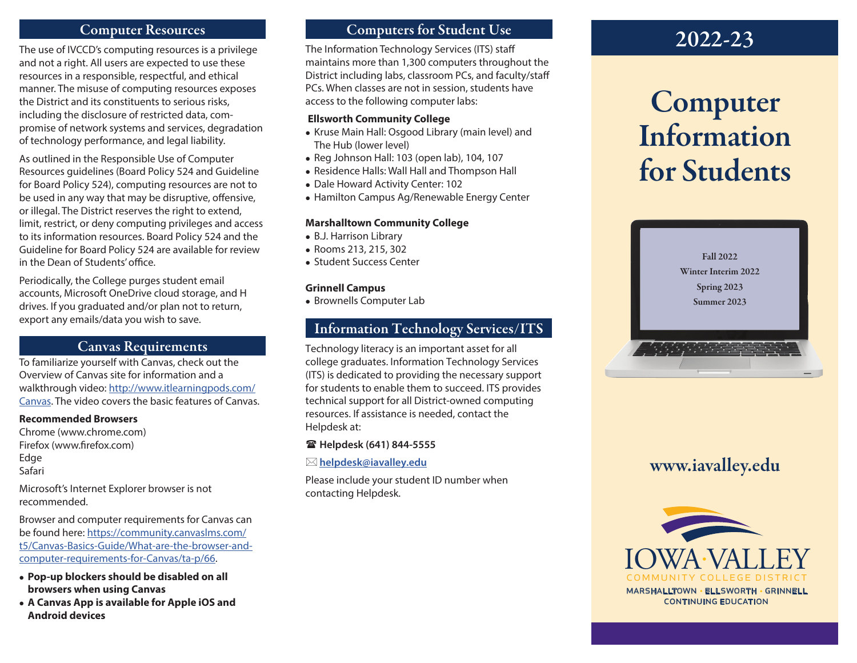# Computer Resources

The use of IVCCD's computing resources is a privilege and not a right. All users are expected to use these resources in a responsible, respectful, and ethical manner. The misuse of computing resources exposes the District and its constituents to serious risks, including the disclosure of restricted data, compromise of network systems and services, degradation of technology performance, and legal liability.

As outlined in the Responsible Use of Computer Resources guidelines (Board Policy 524 and Guideline for Board Policy 524), computing resources are not to be used in any way that may be disruptive, offensive, or illegal. The District reserves the right to extend, limit, restrict, or deny computing privileges and access to its information resources. Board Policy 524 and the Guideline for Board Policy 524 are available for review in the Dean of Students' office.

Periodically, the College purges student email accounts, Microsoft OneDrive cloud storage, and H drives. If you graduated and/or plan not to return, export any emails/data you wish to save.

# Canvas Requirements

To familiarize yourself with Canvas, check out the Overview of Canvas site for information and a walkthrough video: http://www.itlearningpods.com/ Canvas. The video covers the basic features of Canvas.

#### **Recommended Browsers**

Chrome (www.chrome.com) Firefox (www.firefox.com) Edge Safari

Microsoft's Internet Explorer browser is not recommended.

Browser and computer requirements for Canvas can be found here: https://community.canvaslms.com/ t5/Canvas-Basics-Guide/What-are-the-browser-andcomputer-requirements-for-Canvas/ta-p/66.

- <sup>l</sup>**Pop-up blockers should be disabled on all browsers when using Canvas**
- <sup>l</sup>**A Canvas App is available for Apple iOS and Android devices**

# Computers for Student Use

The Information Technology Services (ITS) staff maintains more than 1,300 computers throughout the District including labs, classroom PCs, and faculty/staff PCs. When classes are not in session, students have access to the following computer labs:

#### **Ellsworth Community College**

- Kruse Main Hall: Osgood Library (main level) and The Hub (lower level)
- $\bullet$  Reg Johnson Hall: 103 (open lab), 104, 107
- Residence Halls: Wall Hall and Thompson Hall
- Dale Howard Activity Center: 102
- Hamilton Campus Ag/Renewable Energy Center

#### **Marshalltown Community College**

- B.J. Harrison Library
- Rooms 213, 215, 302
- Student Success Center

#### **Grinnell Campus**

• Brownells Computer Lab

# Information Technology Services/ITS

Technology literacy is an important asset for all college graduates. Information Technology Services (ITS) is dedicated to providing the necessary support for students to enable them to succeed. ITS provides technical support for all District-owned computing resources. If assistance is needed, contact the Helpdesk at:

#### ( **Helpdesk (641) 844-5555**

 $⊠$  helpdesk@iavalley.edu

Please include your student ID number when contacting Helpdesk.



# Computer Information for Students



# www.iavalley.edu